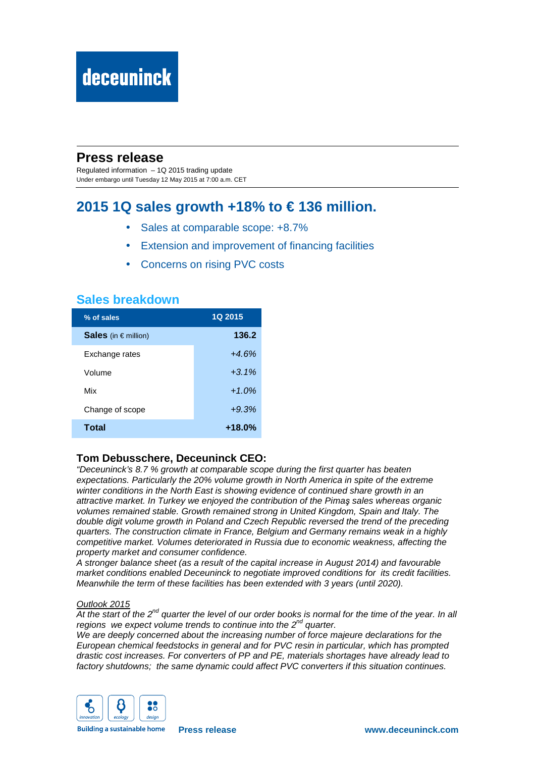# deceuninck

## **Press release**

Regulated information – 1Q 2015 trading update Under embargo until Tuesday 12 May 2015 at 7:00 a.m. CET

# **2015 1Q sales growth +18% to € 136 million.**

- Sales at comparable scope:  $+8.7\%$
- Extension and improvement of financing facilities
- Concerns on rising PVC costs

## **Sales breakdown**

| % of sales               | 1Q 2015   |
|--------------------------|-----------|
| Sales (in $\in$ million) | 136.2     |
| Exchange rates           | $+4.6%$   |
| Volume                   | $+3.1\%$  |
| Mix                      | $+1.0%$   |
| Change of scope          | $+9.3%$   |
| Total                    | $+18.0\%$ |

## **Tom Debusschere, Deceuninck CEO:**

"Deceuninck's 8.7 % growth at comparable scope during the first quarter has beaten expectations. Particularly the 20% volume growth in North America in spite of the extreme winter conditions in the North East is showing evidence of continued share growth in an attractive market. In Turkey we enjoyed the contribution of the Pima*ş* sales whereas organic volumes remained stable. Growth remained strong in United Kingdom, Spain and Italy. The double digit volume growth in Poland and Czech Republic reversed the trend of the preceding quarters. The construction climate in France, Belgium and Germany remains weak in a highly competitive market. Volumes deteriorated in Russia due to economic weakness, affecting the property market and consumer confidence.

A stronger balance sheet (as a result of the capital increase in August 2014) and favourable market conditions enabled Deceuninck to negotiate improved conditions for its credit facilities. Meanwhile the term of these facilities has been extended with 3 years (until 2020).

#### Outlook 2015

At the start of the  $2^{nd}$  quarter the level of our order books is normal for the time of the year. In all regions we expect volume trends to continue into the  $2^{nd}$  quarter.

We are deeply concerned about the increasing number of force majeure declarations for the European chemical feedstocks in general and for PVC resin in particular, which has prompted drastic cost increases. For converters of PP and PE, materials shortages have already lead to factory shutdowns; the same dynamic could affect PVC converters if this situation continues.



**Building a sustainable home**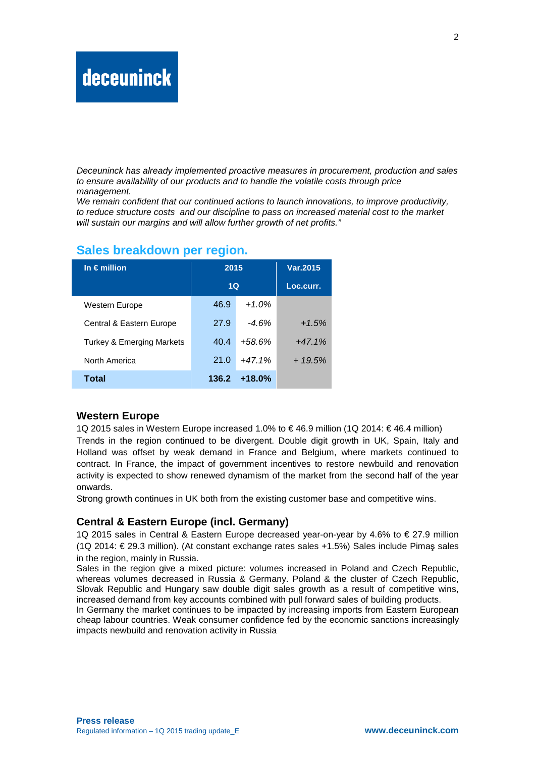# **deceuninck**

Deceuninck has already implemented proactive measures in procurement, production and sales to ensure availability of our products and to handle the volatile costs through price management.

We remain confident that our continued actions to launch innovations, to improve productivity, to reduce structure costs and our discipline to pass on increased material cost to the market will sustain our margins and will allow further growth of net profits."

| In $\epsilon$ million                | 2015  |          | Var.2015  |
|--------------------------------------|-------|----------|-----------|
|                                      | 1Q    |          | Loc.curr. |
| Western Europe                       | 46.9  | $+1.0%$  |           |
| Central & Eastern Europe             | 27.9  | $-4.6%$  | $+1.5%$   |
| <b>Turkey &amp; Emerging Markets</b> | 40.4  | $+58.6%$ | $+47.1%$  |
| North America                        | 21.0  | $+47.1%$ | $+19.5%$  |
| Total                                | 136.2 | $+18.0%$ |           |

#### **Sales breakdown per region.**

## **Western Europe**

1Q 2015 sales in Western Europe increased 1.0% to € 46.9 million (1Q 2014: € 46.4 million) Trends in the region continued to be divergent. Double digit growth in UK, Spain, Italy and Holland was offset by weak demand in France and Belgium, where markets continued to contract. In France, the impact of government incentives to restore newbuild and renovation activity is expected to show renewed dynamism of the market from the second half of the year onwards.

Strong growth continues in UK both from the existing customer base and competitive wins.

## **Central & Eastern Europe (incl. Germany)**

1Q 2015 sales in Central & Eastern Europe decreased year-on-year by 4.6% to € 27.9 million (1Q 2014: € 29.3 million). (At constant exchange rates sales +1.5%) Sales include Pimaş sales in the region, mainly in Russia.

Sales in the region give a mixed picture: volumes increased in Poland and Czech Republic, whereas volumes decreased in Russia & Germany. Poland & the cluster of Czech Republic, Slovak Republic and Hungary saw double digit sales growth as a result of competitive wins, increased demand from key accounts combined with pull forward sales of building products.

In Germany the market continues to be impacted by increasing imports from Eastern European cheap labour countries. Weak consumer confidence fed by the economic sanctions increasingly impacts newbuild and renovation activity in Russia